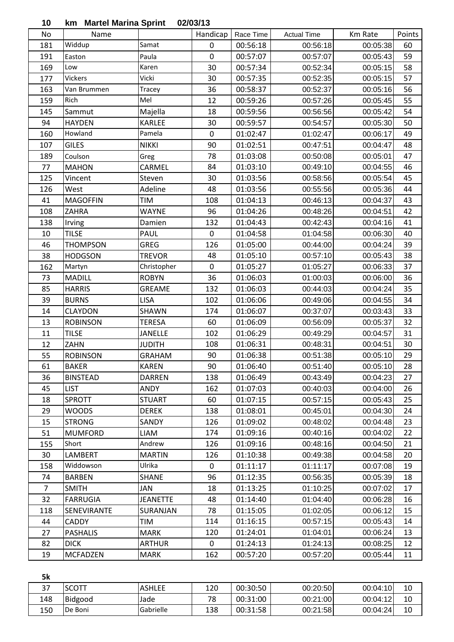| 10 |  |  | km Martel Marina Sprint 02/03/13 |
|----|--|--|----------------------------------|
|    |  |  |                                  |

| ιv             | אווו ויופו עם ויום וווח שויו וווח |                 | <u> 925931 19</u>       |                       |                                |                     | Points |
|----------------|-----------------------------------|-----------------|-------------------------|-----------------------|--------------------------------|---------------------|--------|
| No<br>181      | Name<br>Widdup                    | Samat           | Handicap<br>$\mathbf 0$ | Race Time<br>00:56:18 | <b>Actual Time</b><br>00:56:18 | Km Rate<br>00:05:38 | 60     |
|                |                                   |                 |                         |                       |                                |                     |        |
| 191            | Easton                            | Paula           | $\mathbf 0$             | 00:57:07              | 00:57:07                       | 00:05:43            | 59     |
| 169            | Low                               | Karen           | 30                      | 00:57:34              | 00:52:34                       | 00:05:15            | 58     |
| 177            | Vickers                           | Vicki           | 30                      | 00:57:35              | 00:52:35                       | 00:05:15            | 57     |
| 163            | Van Brummen                       | Tracey          | 36                      | 00:58:37              | 00:52:37                       | 00:05:16            | 56     |
| 159            | Rich                              | Mel             | 12                      | 00:59:26              | 00:57:26                       | 00:05:45            | 55     |
| 145            | Sammut                            | Majella         | 18                      | 00:59:56              | 00:56:56                       | 00:05:42            | 54     |
| 94             | <b>HAYDEN</b>                     | <b>KARLEE</b>   | 30                      | 00:59:57              | 00:54:57                       | 00:05:30            | 50     |
| 160            | Howland                           | Pamela          | $\mathbf 0$             | 01:02:47              | 01:02:47                       | 00:06:17            | 49     |
| 107            | <b>GILES</b>                      | <b>NIKKI</b>    | 90                      | 01:02:51              | 00:47:51                       | 00:04:47            | 48     |
| 189            | Coulson                           | Greg            | 78                      | 01:03:08              | 00:50:08                       | 00:05:01            | 47     |
| 77             | <b>MAHON</b>                      | CARMEL          | 84                      | 01:03:10              | 00:49:10                       | 00:04:55            | 46     |
| 125            | Vincent                           | Steven          | 30                      | 01:03:56              | 00:58:56                       | 00:05:54            | 45     |
| 126            | West                              | Adeline         | 48                      | 01:03:56              | 00:55:56                       | 00:05:36            | 44     |
| 41             | <b>MAGOFFIN</b>                   | <b>TIM</b>      | 108                     | 01:04:13              | 00:46:13                       | 00:04:37            | 43     |
| 108            | <b>ZAHRA</b>                      | <b>WAYNE</b>    | 96                      | 01:04:26              | 00:48:26                       | 00:04:51            | 42     |
| 138            | Irving                            | Damien          | 132                     | 01:04:43              | 00:42:43                       | 00:04:16            | 41     |
| 10             | <b>TILSE</b>                      | PAUL            | $\mathbf 0$             | 01:04:58              | 01:04:58                       | 00:06:30            | 40     |
| 46             | <b>THOMPSON</b>                   | <b>GREG</b>     | 126                     | 01:05:00              | 00:44:00                       | 00:04:24            | 39     |
| 38             | <b>HODGSON</b>                    | <b>TREVOR</b>   | 48                      | 01:05:10              | 00:57:10                       | 00:05:43            | 38     |
| 162            | Martyn                            | Christopher     | $\mathbf 0$             | 01:05:27              | 01:05:27                       | 00:06:33            | 37     |
| 73             | <b>MADILL</b>                     | <b>ROBYN</b>    | 36                      | 01:06:03              | 01:00:03                       | 00:06:00            | 36     |
| 85             | <b>HARRIS</b>                     | <b>GREAME</b>   | 132                     | 01:06:03              | 00:44:03                       | 00:04:24            | 35     |
| 39             | <b>BURNS</b>                      | <b>LISA</b>     | 102                     | 01:06:06              | 00:49:06                       | 00:04:55            | 34     |
| 14             | <b>CLAYDON</b>                    | SHAWN           | 174                     | 01:06:07              | 00:37:07                       | 00:03:43            | 33     |
| 13             | <b>ROBINSON</b>                   | <b>TERESA</b>   | 60                      | 01:06:09              | 00:56:09                       | 00:05:37            | 32     |
| 11             | <b>TILSE</b>                      | <b>JANELLE</b>  | 102                     | 01:06:29              | 00:49:29                       | 00:04:57            | 31     |
| 12             | ZAHN                              | <b>JUDITH</b>   | 108                     | 01:06:31              | 00:48:31                       | 00:04:51            | 30     |
| 55             | <b>ROBINSON</b>                   | <b>GRAHAM</b>   | 90                      | 01:06:38              | 00:51:38                       | 00:05:10            | 29     |
| 61             | BAKER                             | <b>KAREN</b>    | 90                      | 01:06:40              | 00:51:40                       | 00:05:10            | 28     |
| 36             | <b>BINSTEAD</b>                   | <b>DARREN</b>   | 138                     | 01:06:49              | 00:43:49                       | 00:04:23            | 27     |
| 45             | <b>LIST</b>                       | ANDY            | 162                     | 01:07:03              | 00:40:03                       | 00:04:00            | 26     |
| 18             | <b>SPROTT</b>                     | <b>STUART</b>   | 60                      | 01:07:15              | 00:57:15                       | 00:05:43            | 25     |
| 29             | <b>WOODS</b>                      | <b>DEREK</b>    | 138                     | 01:08:01              | 00:45:01                       | 00:04:30            | 24     |
| 15             | <b>STRONG</b>                     | SANDY           |                         | 01:09:02              | 00:48:02                       | 00:04:48            | 23     |
|                |                                   |                 | 126                     |                       |                                |                     |        |
| 51             | <b>MUMFORD</b>                    | LIAM<br>Andrew  | 174                     | 01:09:16              | 00:40:16                       | 00:04:02            | 22     |
| 155            | Short                             |                 | 126                     | 01:09:16              | 00:48:16                       | 00:04:50            | 21     |
| 30             | LAMBERT                           | <b>MARTIN</b>   | 126                     | 01:10:38              | 00:49:38                       | 00:04:58            | 20     |
| 158            | Widdowson                         | Ulrika          | $\mathbf 0$             | 01:11:17              | 01:11:17                       | 00:07:08            | 19     |
| 74             | <b>BARBEN</b>                     | <b>SHANE</b>    | 96                      | 01:12:35              | 00:56:35                       | 00:05:39            | 18     |
| $\overline{7}$ | <b>SMITH</b>                      | JAN             | 18                      | 01:13:25              | 01:10:25                       | 00:07:02            | 17     |
| 32             | <b>FARRUGIA</b>                   | <b>JEANETTE</b> | 48                      | 01:14:40              | 01:04:40                       | 00:06:28            | 16     |
| 118            | SENEVIRANTE                       | SURANJAN        | 78                      | 01:15:05              | 01:02:05                       | 00:06:12            | 15     |
| 44             | CADDY                             | TIM             | 114                     | 01:16:15              | 00:57:15                       | 00:05:43            | 14     |
| 27             | <b>PASHALIS</b>                   | <b>MARK</b>     | 120                     | 01:24:01              | 01:04:01                       | 00:06:24            | 13     |
| 82             | <b>DICK</b>                       | <b>ARTHUR</b>   | 0                       | 01:24:13              | 01:24:13                       | 00:08:25            | 12     |
| 19             | <b>MCFADZEN</b>                   | <b>MARK</b>     | 162                     | 00:57:20              | 00:57:20                       | 00:05:44            | 11     |

| 5k  |                  |               |     |          |          |          |    |
|-----|------------------|---------------|-----|----------|----------|----------|----|
| 37  | <b>SCOTT</b>     | <b>ASHLEE</b> | 120 | 00:30:50 | 00:20:50 | 00:04:10 | 10 |
| 148 | <b>Bidgood</b>   | Jade          | 78  | 00:31:00 | 00:21:00 | 00:04:12 | 10 |
| 150 | <b>I</b> De Boni | Gabrielle     | 138 | 00:31:58 | 00:21:58 | 00:04:24 | 10 |
|     |                  |               |     |          |          |          |    |